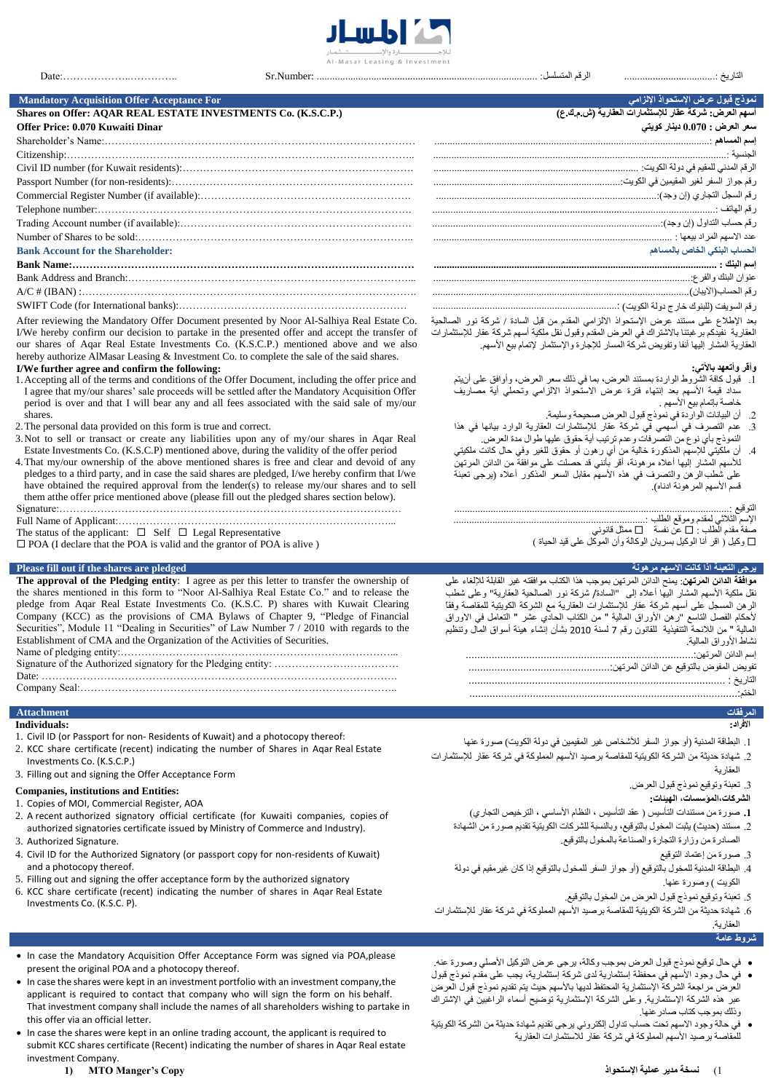

التاريخ ...................................: الرقم المتسلسل: ..................................................................................... :Number.Sr ..…………..………………:Date

**نموذج قبول عرض اإلستحواذ اإللزامي For Acceptance Offer Acquisition Mandatory**

# **Shares on Offer: AQAR REAL ESTATE INVESTMENTS Co. (K.S.C.P.) (ع.ك.م.ش (العقاریة للإستثمارات عقار شركة :العرض أسھم**

# **سعر العرض : 0.000 دینار كویتي Dinar Kuwaiti 0.070 :Price Offer**

| <b>Bank Account for the Shareholder:</b> | الحساب البنكي الخاص بالمساهم |
|------------------------------------------|------------------------------|
|                                          |                              |
|                                          |                              |
|                                          |                              |
|                                          |                              |

After reviewing the Mandatory Offer Document presented by Noor Al-Salhiya Real Estate Co. I/We hereby confirm our decision to partake in the presented offer and accept the transfer of

our shares of Aqar Real Estate Investments Co. (K.S.C.P.) mentioned above and we also hereby authorize AlMasar Leasing & Investment Co. to complete the sale of the said shares. **I/We further agree and confirm the following:**

- 1.Accepting all of the terms and conditions of the Offer Document, including the offer price and I agree that my/our shares' sale proceeds will be settled after the Mandatory Acquisition Offer period is over and that I will bear any and all fees associated with the said sale of my/our shares.
- 2.The personal data provided on this form is true and correct.
- 3.Not to sell or transact or create any liabilities upon any of my/our shares in Aqar Real Estate Investments Co. (K.S.C.P) mentioned above, during the validity of the offer period
- 4.That my/our ownership of the above mentioned shares is free and clear and devoid of any pledges to a third party, and in case the said shares are pledged, I/we hereby confirm that I/we have obtained the required approval from the lender(s) to release my/our shares and to sell them atthe offer price mentioned above (please fill out the pledged shares section below). Signature:………………………………………………………………………………………
- Full Name of Applicant:……………………………………………………………………...
- The status of the applicant:  $\square$  Self  $\square$  Legal Representative
- $\Box$  POA (I declare that the POA is valid and the grantor of POA is alive )

### **Please fill out if the shares are pledged مرهونة االسھم كانت اذا التعبئة یرجى**

**The approval of the Pledging entity**: I agree as per this letter to transfer the ownership of the shares mentioned in this form to "Noor Al-Salhiya Real Estate Co." and to release the pledge from Aqar Real Estate Investments Co. (K.S.C. P) shares with Kuwait Clearing Company (KCC) as the provisions of CMA Bylaws of Chapter 9, "Pledge of Financial Securities", Module 11 "Dealing in Securities" of Law Number 7 / 2010 with regards to the Establishment of CMA and the Organization of the Activities of Securities. Name of pledging entity:……………………………………………………………………...

Signature of the Authorized signatory for the Pledging entity: ……………………………………………… Date: ………………………………………………………………………………………….

Company Seal:………………………………………………………………………………..

### **المرفقات Attachment**

- **Individuals:**
- 1. Civil ID (or Passport for non- Residents of Kuwait) and a photocopy thereof:
- 2. KCC share certificate (recent) indicating the number of Shares in Aqar Real Estate Investments Co. (K.S.C.P.)
- 3. Filling out and signing the Offer Acceptance Form

### **Companies, institutions and Entities:**

- 1. Copies of MOI, Commercial Register, AOA
- 2. A recent authorized signatory official certificate (for Kuwaiti companies, copies of authorized signatories certificate issued by Ministry of Commerce and Industry).
- 3. Authorized Signature.
- 4. Civil ID for the Authorized Signatory (or passport copy for non-residents of Kuwait) and a photocopy thereof.
- 5. Filling out and signing the offer acceptance form by the authorized signatory
- 6. KCC share certificate (recent) indicating the number of shares in Aqar Real Estate Investments Co. (K.S.C. P).

- In case the shares were kept in an investment portfolio with an investment company,the applicant is required to contact that company who will sign the form on his behalf. That investment company shall include the names of all shareholders wishing to partake in this offer via an official letter.
- In case the shares were kept in an online trading account, the applicant is required to submit KCC shares certificate (Recent) indicating the number of shares in Aqar Real estate investment Company.

| <b>Bank Account for the Shareholder:</b> | الحساب البنكي الخاص بالمساهم |
|------------------------------------------|------------------------------|
|                                          | اسم الننك ٠                  |
|                                          |                              |
|                                          |                              |
|                                          |                              |

بعد الإطلاع على مستند عرض الإستحواذ االلزامي المقدم من قبل السادة / شركة نور الصالحية العقارية نفيدكم برغبتنا باالشتراك في العرض المقدم وقبول نقل ملكية أسهم شركة عقار للإستثمارات العقارية المشار إليها آنفا وتفويض شركة المسار للإجارة والإستثمار لإتمام بيع الأسهم.

## **وأقر وأتعھد بالآتي:**

- .1 قبول كافة الشروط الواردة بمستند العرض، بما في ذلك سعر العرض، وأوافق على أنيتم ...<br>سداد قيمة الأسهم بعد إنتهاء فترة عرض الاستحواذ الالزامي وتحملي أية مصاريف خاصة بإتمام بيع الأسهم .
	- .2 أن البيانات الواردة في نموذج قبول العرض صحيحة وسليمة.
- .3 عدم التصرف في أسهمي في شركة عقار للإستثمارات العقارية الوارد بيانها في ھذا النموذج بأي نوع من التصرفات وعدم ترتيب أية حقوق عليها طوال مدة العرض.
- .4 أن ملكيتي للإسهم المذكورة خالية من أي رھون أو حقوق للغير وفي حال كانت ملكيتي للأسهم المشار إليها أعلاه مرھونة، أقر بأنني قد حصلت على موافقة من الدائن المرتهن على شطبالرھن والتصرف في ھذه الأسهم مقابل السعر المذكور أعلاه (يرجى تعبئة قسم الأسهم المرھونة ادناه).

### التوقيع ..........................................................................................................:

الإسم الثلاثي لمقدم وموقع الطلب ..........................................................................: صفة مقدم الطلب : عن نفسة ممثل قانوني

وكيل ) اقر أنا الوكيل بسريان الوكالة وأن الموكل على قيد الحياة (

**موافقة الدائن المرتھن**: یمنح الدائن المرتھن بموجب ھذا الكتاب موافقتھ غیر القابلة للإلغاء على نقل ملكیة األسھم المشار الیھا أعاله إلى "السادة/ شركة نور الصالحیة العقاریة" وعلى شطب الرھن المسجل على أسھم شركة عقار للإستثمارات العقاریة مع الشركة الكویتیة للمقاصة وفقاً ألحكام الفصل التاسع "رھن األوراق المالیة " من الكتاب الحادي عشر " التعامل في االوراق المالیة " من الالئحة التنفیذیة للقانون رقم 7 لسنة 2010 بشأن إنشاء ھیئة أسواق المال وتنظیم نشاط الأوراق المالیة.

إسم الدائن المرتھن...............................................................................: تفویض المفوض بالتوقیع عن الدائن المرتھن.................................................: التاریخ : ......................................................................................... الختم.............................................................................................:

# **االفراد:**

- .1 البطاقة المدنية (أو جواز السفر للأشخاص غير المقيمين في دولة الكويت) صورة عنها
- .2 شهادة حديثة من الشركة الكويتية للمقاصة برصيد الأسهم المملوكة في شركة عقار للإستثمارات العقارية
	- .3 تعبئة وتوقيع نموذج قبول العرض.

## **الشركات،المؤسسات، الھیئات:**

- **.1** صورة من مستندات التأسيس ) عقد التأسيس ، النظام الأساسي ، الترخيص التجاري(
- .2 مستند (حديث) يثبت المخول بالتوقيع، وبالنسبة للشركات الكويتية تقديم صورة من الشهادة الصادرة من وزارة التجارة والصناعة بالمخول بالتوقيع.
	- .3 صورة من إعتماد التوقيع
- .4 البطاقة المدنية للمخول بالتوقيع (أو جواز السفر للمخول بالتوقيع إذا كان غيرمقيم في دولة الكويت ) وصورة عنها.
	- .5 تعبئة وتوقيع نموذج قبول العرض من المخول بالتوقيع.
- .6 شهادة حديثة من الشركة الكويتية للمقاصة برصيد الأسهم المملوكة في شركة عقار للإستثمارات العقارية.

## **شروط عامة**

- في حال توقيع نموذج قبول العرض بموجب وكالة، يرجى عرض التوكيل الأصلي وصورة عنھ.
- في حال وجود الأسهم في محفظة إستثمارية لدى شركة إستثمارية، يجب على مقدم نموذج قبول العرض مراجعة الشركة الإستثمارية المحتفظ لديها بالأسهم حيث يتم تقديم نموذج قبول العرض عبر ھذه الشركة الإستثمارية. وعلى الشركة الإستثمارية توضيح أسماء الراغبين في الإشتراك وذلك بموجب كتاب صادرعنها.
- في حالة وجود االسهم تحت حساب تداول إلكتروني يرجى تقديم شهادة حديثة من الشركة الكويتية للمقاصة برصيد الأسهم المملوكة في شركة عقار للاستثمارات العقارية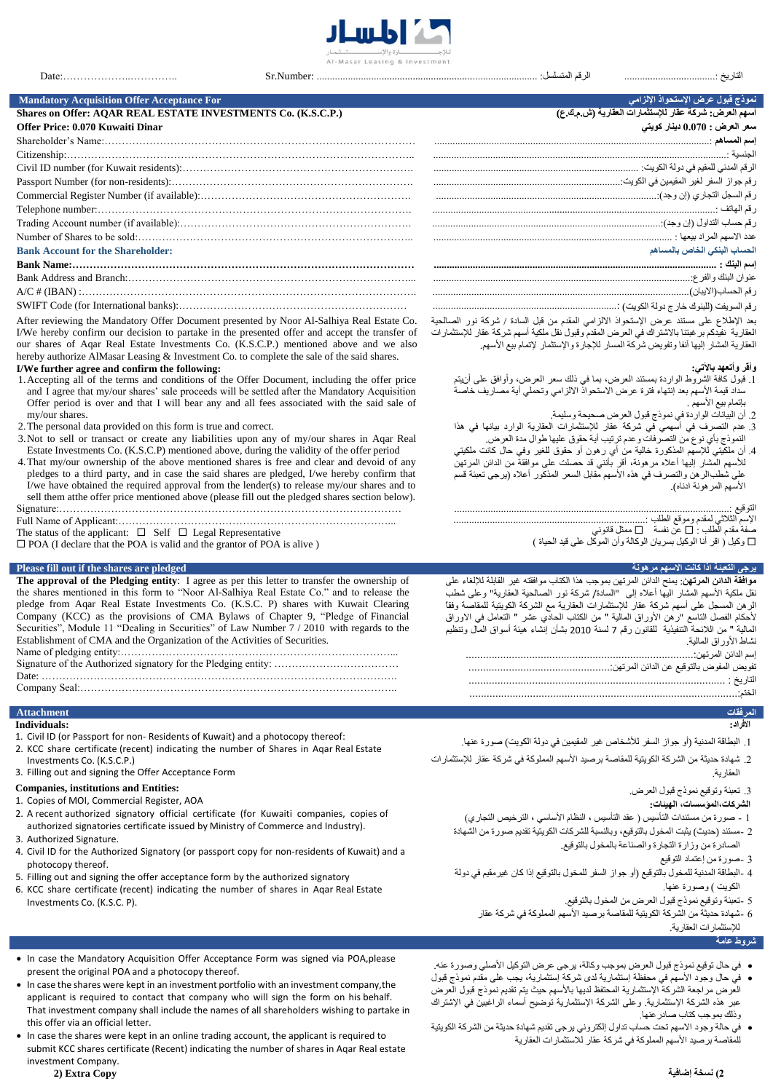

## **نموذج قبول عرض اإلستحواذ اإللزامي For Acceptance Offer Acquisition Mandatory Shares on Offer: AQAR REAL ESTATE INVESTMENTS Co. (K.S.C.P.) (ع.ك.م.ش (العقاریة للإستثمارات عقار شركة :العرض أسھم**

# **Offer Price: 0.070 Kuwaiti Dinar**

| <b>Bank Account for the Shareholder:</b> | لحساب البنكي الخاص بالمساهم |
|------------------------------------------|-----------------------------|
|                                          |                             |
|                                          |                             |
|                                          |                             |
|                                          |                             |

After reviewing the Mandatory Offer Document presented by Noor Al-Salhiya Real Estate Co. I/We hereby confirm our decision to partake in the presented offer and accept the transfer of our shares of Aqar Real Estate Investments Co. (K.S.C.P.) mentioned above and we also hereby authorize AlMasar Leasing & Investment Co. to complete the sale of the said shares.

### **I/We further agree and confirm the following:**

- 1.Accepting all of the terms and conditions of the Offer Document, including the offer price and I agree that my/our shares' sale proceeds will be settled after the Mandatory Acquisition Offer period is over and that I will bear any and all fees associated with the said sale of my/our shares.
- 2.The personal data provided on this form is true and correct.
- 3.Not to sell or transact or create any liabilities upon any of my/our shares in Aqar Real Estate Investments Co. (K.S.C.P) mentioned above, during the validity of the offer period
- 4.That my/our ownership of the above mentioned shares is free and clear and devoid of any pledges to a third party, and in case the said shares are pledged, I/we hereby confirm that I/we have obtained the required approval from the lender(s) to release my/our shares and to sell them atthe offer price mentioned above (please fill out the pledged shares section below). Signature:………………………………………………………………………………………
- Full Name of Applicant:……………………………………………………………………...
- The status of the applicant:  $\square$  Self  $\square$  Legal Representative
- POA (I declare that the POA is valid and the grantor of POA is alive )

### **Please fill out if the shares are pledged مرهونة االسھم كانت اذا التعبئة یرجى**

**The approval of the Pledging entity**: I agree as per this letter to transfer the ownership of the shares mentioned in this form to "Noor Al-Salhiya Real Estate Co." and to release the pledge from Aqar Real Estate Investments Co. (K.S.C. P) shares with Kuwait Clearing Company (KCC) as the provisions of CMA Bylaws of Chapter 9, "Pledge of Financial Securities", Module 11 "Dealing in Securities" of Law Number 7 / 2010 with regards to the Establishment of CMA and the Organization of the Activities of Securities. Name of pledging entity:……………………………………………………………………...

Signature of the Authorized signatory for the Pledging entity: ……………………………………………… Date: ………………………………………………………………………………………….

Company Seal:………………………………………………………………………………..

### **المرفقات Attachment**

- **Individuals:**
- 1. Civil ID (or Passport for non- Residents of Kuwait) and a photocopy thereof:
- 2. KCC share certificate (recent) indicating the number of Shares in Aqar Real Estate Investments Co. (K.S.C.P.)
- 3. Filling out and signing the Offer Acceptance Form

## **Companies, institutions and Entities:**

- 1. Copies of MOI, Commercial Register, AOA
- 2. A recent authorized signatory official certificate (for Kuwaiti companies, copies of authorized signatories certificate issued by Ministry of Commerce and Industry). 3. Authorized Signature.
- 
- 4. Civil ID for the Authorized Signatory (or passport copy for non-residents of Kuwait) and a photocopy thereof.
- 5. Filling out and signing the offer acceptance form by the authorized signatory
- 6. KCC share certificate (recent) indicating the number of shares in Aqar Real Estate Investments Co. (K.S.C. P).

- applicant is required to contact that company who will sign the form on his behalf. That investment company shall include the names of all shareholders wishing to partake in this offer via an official letter.
- In case the shares were kept in an online trading account, the applicant is required to submit KCC shares certificate (Recent) indicating the number of shares in Aqar Real estate investment Company. **2( نسخة إضافیة Copy Extra) 2**

| سعر العرض : 0.070 دينار كويتي |
|-------------------------------|
|                               |
|                               |
|                               |
|                               |
|                               |
|                               |
|                               |
|                               |
| الحساب البنكي الخاص بالمساهم  |
|                               |
|                               |
|                               |
|                               |
|                               |

بعد الإطلاع على مستند عرض الإستحواذ االلزامي المقدم من قبل السادة / شركة نور الصالحية العقارية نفيدكم برغبتنا باالشتراك في العرض المقدم وقبول نقل ملكية أسهم شركة عقار للإستثمارات العقارية المشار إليها آنفا وتفويض شركة المسار للإجارة والإستثمار لإتمام بيع الأسهم.

## **وأقر وأتعھد بالآتي:**

- .1 قبول كافة الشروط الواردة بمستند العرض، بما في ذلك سعر العرض، وأوافق على أنيتم سداد قيمة الأسهم بعد إنتهاء فترة عرض االستحواذ االلزامي وتحملي أية مصاريف خاصة بإتمام بيع الأسهم .
	- .2 أن البيانات الواردة في نموذج قبول العرض صحيحة وسليمة.
- .3 عدم التصرف في أسهمي في شركة عقار للإستثمارات العقارية الوارد بيانها في ھذا النموذج بأي نوع من التصرفات وعدم ترتيب أية حقوق عليها طوال مدة العرض.
- .4 أن ملكيتي للإسهم المذكورة خالية من أي رھون أو حقوق للغير وفي حال كانت ملكيتي للأسهم المشار إليها أعلاه مرھونة، أقر بأنني قد حصلت على موافقة من الدائن المرتهن على شطبالرھن والتصرف في ھذه الأسهم مقابل السعر المذكور أعلاه (يرجى تعبئة قسم الأسهم المرھونة ادناه).

### التوقيع ..........................................................................................................:

الإسم الثلاثي لمقدم وموقع الطلب ..........................................................................:

صفة مقدم الطلب : عن نفسة ممثل قانوني وكيل ) اقر أنا الوكيل بسريان الوكالة وأن الموكل على قيد الحياة (

**موافقة الدائن المرتھن**: یمنح الدائن المرتھن بموجب ھذا الكتاب موافقتھ غیر القابلة للإلغاء على نقل ملكیة األسھم المشار الیھا أعاله إلى "السادة/ شركة نور الصالحیة العقاریة" وعلى شطب الرھن المسجل على أسھم شركة عقار للإستثمارات العقاریة مع الشركة الكویتیة للمقاصة وفقاً .<br>لأحكام الفصل التاسع "رهن الأوراق المالیة " من الكتاب الحادي عشر " التعامل في الاوراق المالیة " من الالئحة التنفیذیة للقانون رقم 7 لسنة 2010 بشأن إنشاء ھیئة أسواق المال وتنظیم نشاط الأوراق المالیة.

# **االفراد:**

- .1 البطاقة المدنية (أو جواز السفر للأشخاص غير المقيمين في دولة الكويت) صورة عنها.
- .2 شهادة حديثة من الشركة الكويتية للمقاصة برصيد الأسهم المملوكة في شركة عقار للإستثمارات العقارية.

### .3 تعبئة وتوقيع نموذج قبول العرض.

## **الشركات،المؤسسات، الھیئات:**

- 1 صورة من مستندات التأسيس ) عقد التأسيس ، النظام الأساسي ، الترخيص التجاري( 2 -مستند (حديث) يثبت المخول بالتوقيع، وبالنسبة للشركات الكويتية تقديم صورة من الشهادة
	- الصادرة من وزارة التجارة والصناعة بالمخول بالتوقيع.
		- 3 -صورة من إعتماد التوقيع
- 4 -البطاقة المدنية للمخول بالتوقيع (أو جواز السفر للمخول بالتوقيع إذا كان غيرمقيم في دولة الكويت ) وصورة عنها.
	- 5 -تعبئة وتوقيع نموذج قبول العرض من المخول بالتوقيع.
	- 6 -شهادة حديثة من الشركة الكويتية للمقاصة برصيد الأسهم المملوكة في شركة عقار للإستثمارات العقارية.

# **شروط عامة**

- في حال توقيع نموذج قبول العرض بموجب وكالة، يرجى عرض التوكيل الأصلي وصورة عنھ.
- في حال وجود الأسهم في محفظة إستثمارية لدى شركة إستثمارية، يجب على مقدم نموذج قبول العرض مراجعة الشركة الإستثمارية المحتفظ لديها بالأسهم حيث يتم تقديم نموذج قبول العرض عبر ھذه الشركة الإستثمارية. وعلى الشركة الإستثمارية توضيح أسماء الراغبين في الإشتراك وذلك بموجب كتاب صادرعنها.
- في حالة وجود االسهم تحت حساب تداول إلكتروني يرجى تقديم شهادة حديثة من الشركة الكويتية للمقاصة برصيد الأسهم المملوكة في شركة عقار للاستثمارات العقارية